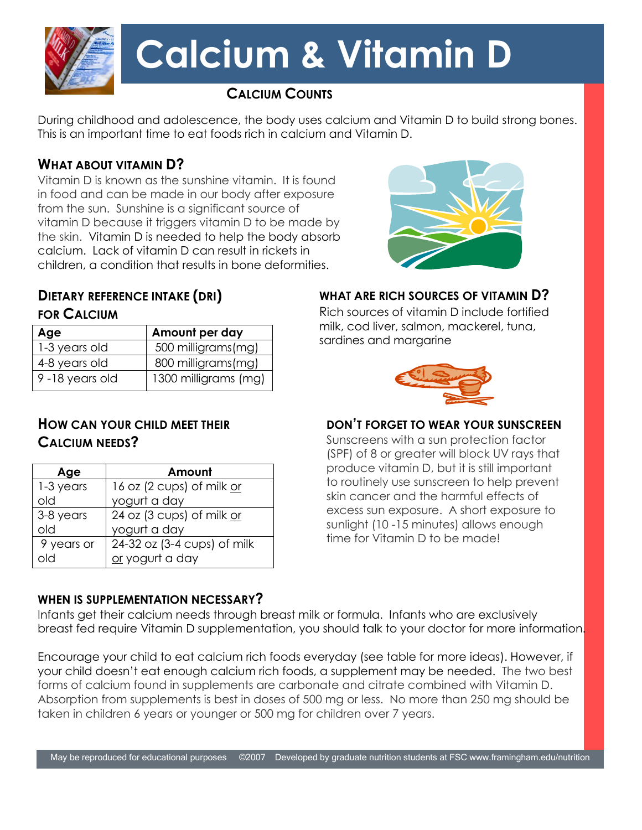

# **Calcium & Vitamin D**

# **CALCIUM COUNTS**

During childhood and adolescence, the body uses calcium and Vitamin D to build strong bones. This is an important time to eat foods rich in calcium and Vitamin D.

# **WHAT ABOUT VITAMIN D?**

Vitamin D is known as the sunshine vitamin. It is found in food and can be made in our body after exposure from the sun. Sunshine is a significant source of vitamin D because it triggers vitamin D to be made by the skin. Vitamin D is needed to help the body absorb calcium. Lack of vitamin D can result in rickets in children, a condition that results in bone deformities.

### **DIETARY REFERENCE INTAKE (DRI) FOR CALCIUM**

| Age            | Amount per day       |
|----------------|----------------------|
| 1-3 years old  | 500 milligrams(mg)   |
| 4-8 years old  | 800 milligrams(mg)   |
| 9-18 years old | 1300 milligrams (mg) |

# **HOW CAN YOUR CHILD MEET THEIR CALCIUM NEEDS?**

| Age        | Amount                      |
|------------|-----------------------------|
| 1-3 years  | 16 oz (2 cups) of milk or   |
| old        | yogurt a day                |
| 3-8 years  | 24 oz (3 cups) of milk or   |
| old        | yogurt a day                |
| 9 years or | 24-32 oz (3-4 cups) of milk |
|            | or yogurt a day             |

## **WHEN IS SUPPLEMENTATION NECESSARY?**



## **WHAT ARE RICH SOURCES OF VITAMIN D?**

Rich sources of vitamin D include fortified milk, cod liver, salmon, mackerel, tuna, sardines and margarine



## **DON'T FORGET TO WEAR YOUR SUNSCREEN**

Sunscreens with a sun protection factor (SPF) of 8 or greater will block UV rays that produce vitamin D, but it is still important to routinely use sunscreen to help prevent skin cancer and the harmful effects of excess sun exposure. A short exposure to sunlight (10 -15 minutes) allows enough time for Vitamin D to be made!

Infants get their calcium needs through breast milk or formula. Infants who are exclusively breast fed require Vitamin D supplementation, you should talk to your doctor for more information.

Encourage your child to eat calcium rich foods everyday (see table for more ideas). However, if your child doesn't eat enough calcium rich foods, a supplement may be needed. The two best forms of calcium found in supplements are carbonate and citrate combined with Vitamin D. Absorption from supplements is best in doses of 500 mg or less. No more than 250 mg should be taken in children 6 years or younger or 500 mg for children over 7 years.